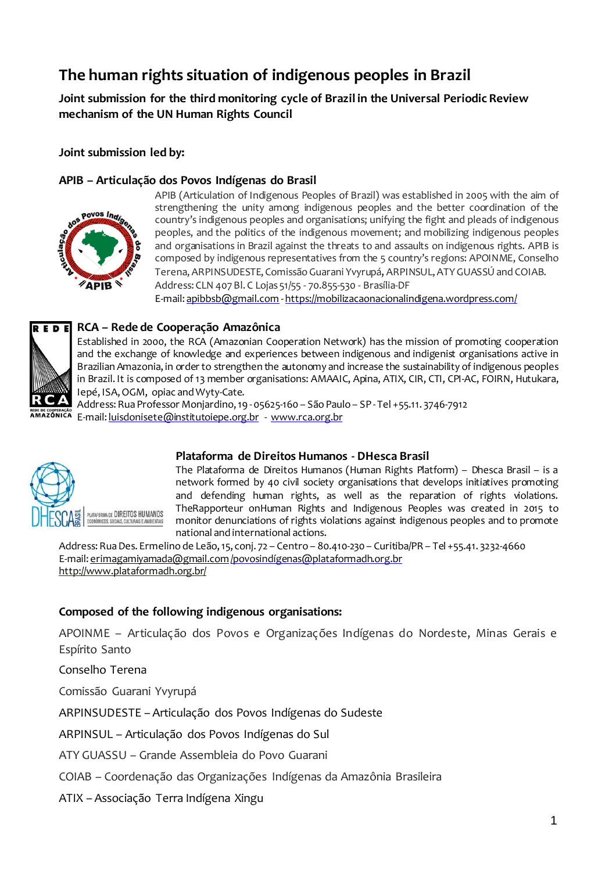# **The human rights situation of indigenous peoples in Brazil**

**Joint submission for the third monitoring cycle of Brazil in the Universal Periodic Review mechanism of the UN Human Rights Council**

**Joint submission led by:**

#### **APIB – Articulação dos Povos Indígenas do Brasil**



APIB (Articulation of Indigenous Peoples of Brazil) was established in 2005 with the aim of strengthening the unity among indigenous peoples and the better coordination of the country's indigenous peoples and organisations; unifying the fight and pleads of indigenous peoples, and the politics of the indigenous movement; and mobilizing indigenous peoples and organisations in Brazil against the threats to and assaults on indigenous rights. APIB is composed by indigenous representatives from the 5 country's regions: APOINME, Conselho Terena, ARPINSUDESTE, Comissão Guarani Yvyrupá, ARPINSUL, ATY GUASSÚ and COIAB. Address: CLN 407 Bl. C Lojas 51/55 - 70.855-530 - Brasília-DF

E-mail: apibbsb@gmail.com -https://mobilizacaonacionalindigena.wordpress.com/



#### **RCA – Rede de Cooperação Amazônica**

Established in 2000, the RCA (Amazonian Cooperation Network) has the mission of promoting cooperation and the exchange of knowledge and experiences between indigenous and indigenist organisations active in Brazilian Amazonia, in order to strengthen the autonomy and increase the sustainability of indigenous peoples in Brazil. It is composed of 13 member organisations: AMAAIC, Apina, ATIX, CIR, CTI, CPI-AC, FOIRN, Hutukara, Iepé, ISA,OGM, opiac andWyty-Cate.

Address: Rua Professor Monjardino, 19 - 05625-160 - São Paulo - SP - Tel + 55.11. 3746-7912 E-mail: luisdonisete@institutoiepe.org.br - www.rca.org.br



#### **Plataforma de Direitos Humanos - DHesca Brasil**

The Plataforma de Direitos Humanos (Human Rights Platform) – Dhesca Brasil – is a network formed by 40 civil society organisations that develops initiatives promoting and defending human rights, as well as the reparation of rights violations. TheRapporteur onHuman Rights and Indigenous Peoples was created in 2015 to monitor denunciations of rights violations against indigenous peoples and to promote national and international actions.

Address:RuaDes. Ermelino de Leão,15, conj. 72 – Centro – 80.410-230 – Curitiba/PR – Tel +55.41. 3232-4660 E-mail: erimagamiyamada@gmail.com/povosindígenas@plataformadh.org.br http://www.plataformadh.org.br/

#### **Composed of the following indigenous organisations:**

APOINME – Articulação dos Povos e Organizações Indígenas do Nordeste, Minas Gerais e Espírito Santo

Conselho Terena

Comissão Guarani Yvyrupá

ARPINSUDESTE – Articulação dos Povos Indígenas do Sudeste

ARPINSUL – Articulação dos Povos Indígenas do Sul

ATY GUASSU – Grande Assembleia do Povo Guarani

COIAB – Coordenação das Organizações Indígenas da Amazônia Brasileira

ATIX – Associação Terra Indígena Xingu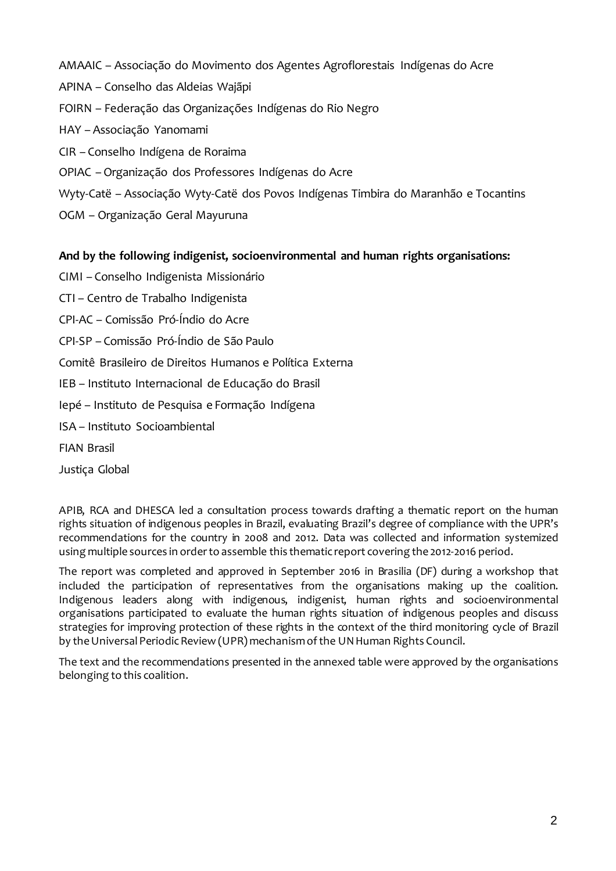AMAAIC – Associação do Movimento dos Agentes Agroflorestais Indígenas do Acre APINA – Conselho das Aldeias Wajãpi FOIRN – Federação das Organizações Indígenas do Rio Negro HAY – Associação Yanomami CIR – Conselho Indígena de Roraima OPIAC –Organização dos Professores Indígenas do Acre Wyty-Catë – Associação Wyty-Catë dos Povos Indígenas Timbira do Maranhão e Tocantins OGM – Organização Geral Mayuruna

## **And by the following indigenist, socioenvironmental and human rights organisations:**

- CIMI Conselho Indigenista Missionário
- CTI Centro de Trabalho Indigenista
- CPI-AC Comissão Pró-Índio do Acre
- CPI-SP Comissão Pró-Índio de São Paulo
- Comitê Brasileiro de Direitos Humanos e Política Externa
- IEB Instituto Internacional de Educação do Brasil
- Iepé Instituto de Pesquisa e Formação Indígena
- ISA Instituto Socioambiental
- FIAN Brasil
- Justiça Global

APIB, RCA and DHESCA led a consultation process towards drafting a thematic report on the human rights situation of indigenous peoples in Brazil, evaluating Brazil's degree of compliance with the UPR's recommendations for the country in 2008 and 2012. Data was collected and information systemized using multiple sources in order to assemble this thematic report covering the 2012-2016 period.

The report was completed and approved in September 2016 in Brasilia (DF) during a workshop that included the participation of representatives from the organisations making up the coalition. Indigenous leaders along with indigenous, indigenist, human rights and socioenvironmental organisations participated to evaluate the human rights situation of indigenous peoples and discuss strategies for improving protection of these rights in the context of the third monitoring cycle of Brazil by the Universal Periodic Review (UPR) mechanism of the UN Human Rights Council.

The text and the recommendations presented in the annexed table were approved by the organisations belonging to this coalition.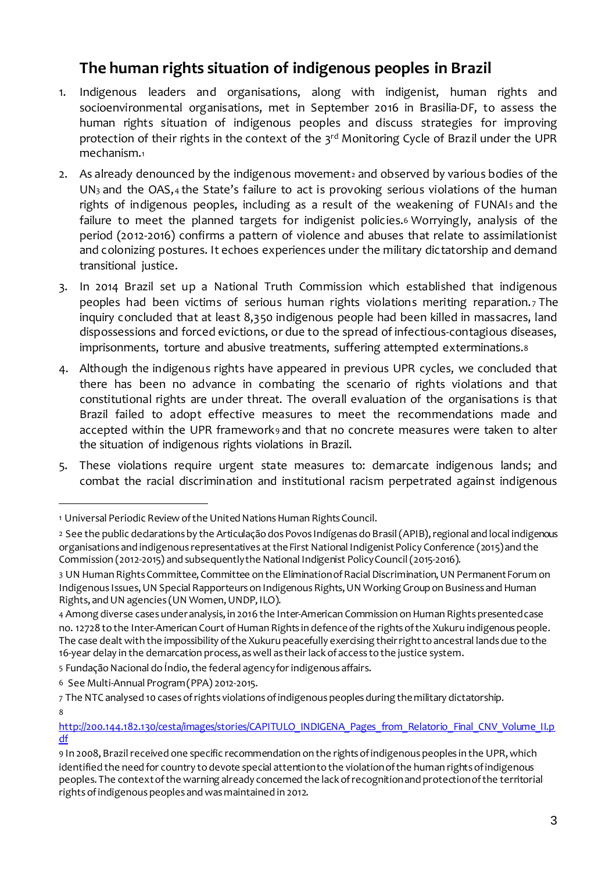## **The human rights situation of indigenous peoples in Brazil**

- 1. Indigenous leaders and organisations, along with indigenist, human rights and socioenvironmental organisations, met in September 2016 in Brasilia-DF, to assess the human rights situation of indigenous peoples and discuss strategies for improving protection of their rights in the context of the 3<sup>rd</sup> Monitoring Cycle of Brazil under the UPR mechanism.<sup>1</sup>
- 2. As already denounced by the indigenous movement<sup>2</sup> and observed by various bodies of the UN<sup>3</sup> and the OAS,<sup>4</sup> the State's failure to act is provoking serious violations of the human rights of indigenous peoples, including as a result of the weakening of FUNAI<sub>5</sub> and the failure to meet the planned targets for indigenist policies.<sup>6</sup> Worryingly, analysis of the period (2012-2016) confirms a pattern of violence and abuses that relate to assimilationist and colonizing postures. It echoes experiences under the military dictatorship and demand transitional justice.
- 3. In 2014 Brazil set up a National Truth Commission which established that indigenous peoples had been victims of serious human rights violations meriting reparation. <sup>7</sup> The inquiry concluded that at least 8,350 indigenous people had been killed in massacres, land dispossessions and forced evictions, or due to the spread of infectious-contagious diseases, imprisonments, torture and abusive treatments, suffering attempted exterminations.<sup>8</sup>
- 4. Although the indigenous rights have appeared in previous UPR cycles, we concluded that there has been no advance in combating the scenario of rights violations and that constitutional rights are under threat. The overall evaluation of the organisations is that Brazil failed to adopt effective measures to meet the recommendations made and accepted within the UPR framework<sub>9</sub> and that no concrete measures were taken to alter the situation of indigenous rights violations in Brazil.
- 5. These violations require urgent state measures to: demarcate indigenous lands; and combat the racial discrimination and institutional racism perpetrated against indigenous

-

<sup>1</sup> Universal Periodic Review of the United Nations Human Rights Council.

<sup>&</sup>lt;sup>2</sup> See the public declarations by the Articulação dos Povos Indígenas do Brasil (APIB), regional and local indigenous organisations and indigenous representatives at the First National Indigenist Policy Conference (2015) and the Commission (2012-2015) and subsequentlythe National Indigenist PolicyCouncil(2015-2016).

<sup>3</sup> UN Human RightsCommittee, Committee on the EliminationofRacialDiscrimination,UN PermanentForum on Indigenous Issues, UN Special Rapporteurs on Indigenous Rights, UN Working Group on Business and Human Rights, and UN agencies (UN Women, UNDP, ILO).

<sup>4</sup> Among diverse cases under analysis, in 2016 the Inter-American Commission on Human Rights presented case no. 12728 to the Inter-American Court of Human Rights in defence of the rights of the Xukuru indigenous people. The case dealt with the impossibility of the Xukuru peacefully exercising their right to ancestral lands due to the 16-year delay in the demarcation process, aswell as their lackof access tothe justice system.

<sup>5</sup> Fundação Nacional do Índio, the federal agency for indigenous affairs.

<sup>6</sup> See Multi-Annual Program(PPA) 2012-2015.

<sup>7</sup> The NTC analysed 10 cases of rights violations of indigenous peoples during the military dictatorship. 8

http://200.144.182.130/cesta/images/stories/CAPITULO\_INDIGENA\_Pages\_from\_Relatorio\_Final\_CNV\_Volume\_II.p df

<sup>9</sup> In 2008, Brazil received one specific recommendation on the rights of indigenous peoples in the UPR, which identified the need for country to devote special attention to the violation of the human rights of indigenous peoples. The contextofthe warning already concerned the lackofrecognitionand protectionofthe territorial rights of indigenous peoples and was maintained in 2012.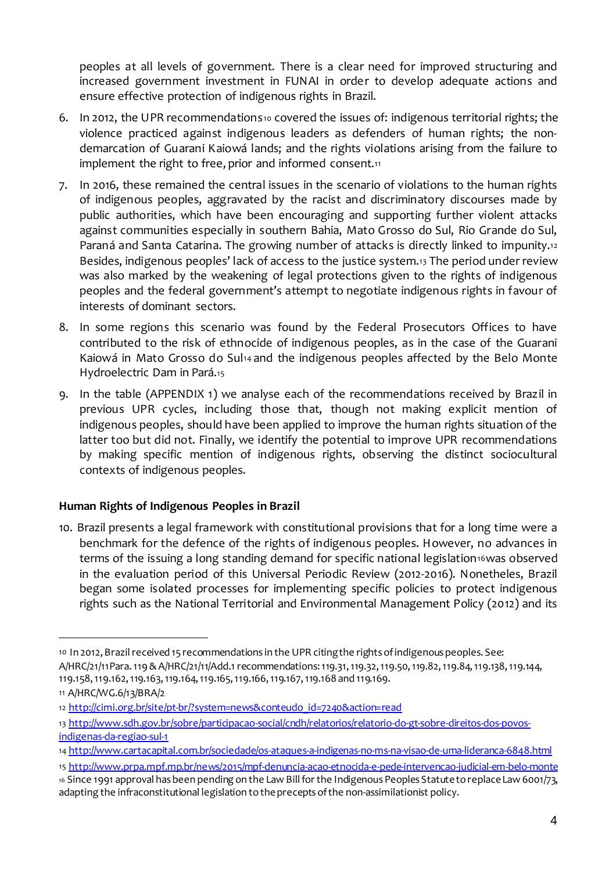peoples at all levels of government. There is a clear need for improved structuring and increased government investment in FUNAI in order to develop adequate actions and ensure effective protection of indigenous rights in Brazil.

- 6. In 2012, the UPR recommendations<sup>10</sup> covered the issues of: indigenous territorial rights; the violence practiced against indigenous leaders as defenders of human rights; the nondemarcation of Guarani Kaiowá lands; and the rights violations arising from the failure to implement the right to free, prior and informed consent.<sup>11</sup>
- 7. In 2016, these remained the central issues in the scenario of violations to the human rights of indigenous peoples, aggravated by the racist and discriminatory discourses made by public authorities, which have been encouraging and supporting further violent attacks against communities especially in southern Bahia, Mato Grosso do Sul, Rio Grande do Sul, Paraná and Santa Catarina. The growing number of attacks is directly linked to impunity.<sup>12</sup> Besides, indigenous peoples' lack of access to the justice system.<sup>13</sup> The period under review was also marked by the weakening of legal protections given to the rights of indigenous peoples and the federal government's attempt to negotiate indigenous rights in favour of interests of dominant sectors.
- 8. In some regions this scenario was found by the Federal Prosecutors Offices to have contributed to the risk of ethnocide of indigenous peoples, as in the case of the Guarani Kaiowá in Mato Grosso do Sul14 and the indigenous peoples affected by the Belo Monte Hydroelectric Dam in Pará.<sup>15</sup>
- 9. In the table (APPENDIX 1) we analyse each of the recommendations received by Brazil in previous UPR cycles, including those that, though not making explicit mention of indigenous peoples, should have been applied to improve the human rights situation of the latter too but did not. Finally, we identify the potential to improve UPR recommendations by making specific mention of indigenous rights, observing the distinct sociocultural contexts of indigenous peoples.

## **Human Rights of Indigenous Peoples in Brazil**

10. Brazil presents a legal framework with constitutional provisions that for a long time were a benchmark for the defence of the rights of indigenous peoples. However, no advances in terms of the issuing a long standing demand for specific national legislation16was observed in the evaluation period of this Universal Periodic Review (2012-2016). Nonetheles, Brazil began some isolated processes for implementing specific policies to protect indigenous rights such as the National Territorial and Environmental Management Policy (2012) and its

<sup>10</sup> In 2012,Brazilreceived 15 recommendations in the UPR citingthe rightsofindigenouspeoples. See: A/HRC/21/11Para.119&A/HRC/21/11/Add.1 recommendations:119.31,119.32,119.50,119.82,119.84,119.138,119.144, 119.158,119.162,119.163,119.164,119.165,119.166,119.167,119.168 and 119.169.

<sup>11</sup> A/HRC/WG.6/13/BRA/2

<sup>12</sup> http://cimi.org.br/site/pt-br/?system=news&conteudo\_id=7240&action=read

<sup>13</sup> http://www.sdh.gov.br/sobre/participacao-social/cndh/relatorios/relatorio-do-gt-sobre-direitos-dos-povosindigenas-da-regiao-sul-1

<sup>14</sup> http://www.cartacapital.com.br/sociedade/os-ataques-a-indigenas-no-ms-na-visao-de-uma-lideranca-6848.html

<sup>15</sup> http://www.prpa.mpf.mp.br/news/2015/mpf-denuncia-acao-etnocida-e-pede-intervencao-judicial-em-belo-monte

<sup>16</sup> Since 1991 approval has been pending on the Law Bill for the Indigenous Peoples Statute to replace Law 6001/73, adapting the infraconstitutional legislation tothepreceptsofthe non-assimilationist policy.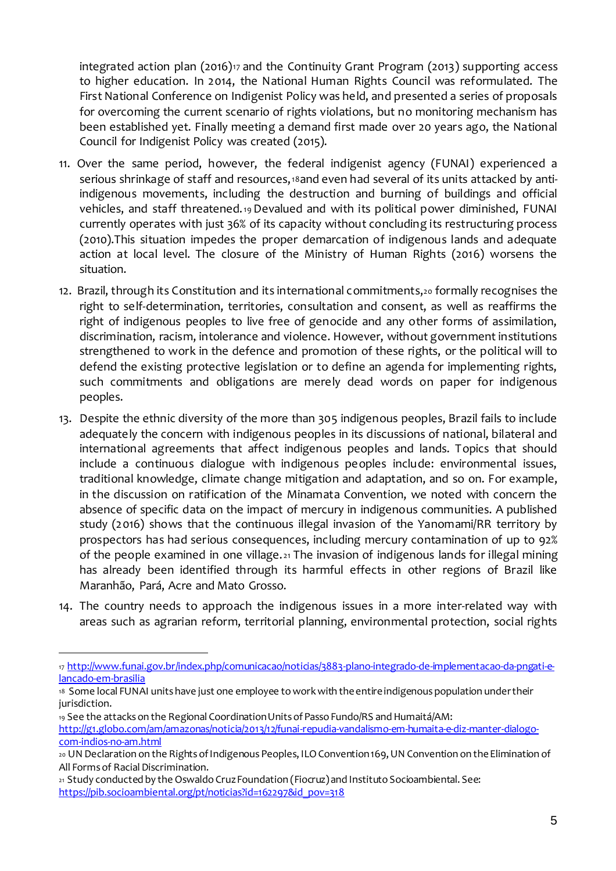integrated action plan (2016)<sup>17</sup> and the Continuity Grant Program (2013) supporting access to higher education. In 2014, the National Human Rights Council was reformulated. The First National Conference on Indigenist Policy was held, and presented a series of proposals for overcoming the current scenario of rights violations, but no monitoring mechanism has been established yet. Finally meeting a demand first made over 20 years ago, the National Council for Indigenist Policy was created (2015).

- 11. Over the same period, however, the federal indigenist agency (FUNAI) experienced a serious shrinkage of staff and resources,18and even had several of its units attacked by antiindigenous movements, including the destruction and burning of buildings and official vehicles, and staff threatened.<sup>19</sup> Devalued and with its political power diminished, FUNAI currently operates with just 36% of its capacity without concluding its restructuring process (2010).This situation impedes the proper demarcation of indigenous lands and adequate action at local level. The closure of the Ministry of Human Rights (2016) worsens the situation.
- 12. Brazil, through its Constitution and its international commitments,<sup>20</sup> formally recognises the right to self-determination, territories, consultation and consent, as well as reaffirms the right of indigenous peoples to live free of genocide and any other forms of assimilation, discrimination, racism, intolerance and violence. However, without government institutions strengthened to work in the defence and promotion of these rights, or the political will to defend the existing protective legislation or to define an agenda for implementing rights, such commitments and obligations are merely dead words on paper for indigenous peoples.
- 13. Despite the ethnic diversity of the more than 305 indigenous peoples, Brazil fails to include adequately the concern with indigenous peoples in its discussions of national, bilateral and international agreements that affect indigenous peoples and lands. Topics that should include a continuous dialogue with indigenous peoples include: environmental issues, traditional knowledge, climate change mitigation and adaptation, and so on. For example, in the discussion on ratification of the Minamata Convention, we noted with concern the absence of specific data on the impact of mercury in indigenous communities. A published study (2016) shows that the continuous illegal invasion of the Yanomami/RR territory by prospectors has had serious consequences, including mercury contamination of up to 92% of the people examined in one village. <sup>21</sup> The invasion of indigenous lands for illegal mining has already been identified through its harmful effects in other regions of Brazil like Maranhão, Pará, Acre and Mato Grosso.
- 14. The country needs to approach the indigenous issues in a more inter-related way with areas such as agrarian reform, territorial planning, environmental protection, social rights

<sup>17</sup> http://www.funai.gov.br/index.php/comunicacao/noticias/3883-plano-integrado-de-implementacao-da-pngati-elancado-em-brasilia

<sup>18</sup> Some local FUNAI units have just one employee to work with the entire indigenous population under their jurisdiction.

<sup>19</sup> See the attacks on the Regional Coordination Units of Passo Fundo/RS and Humaitá/AM: http://g1.globo.com/am/amazonas/noticia/2013/12/funai-repudia-vandalismo-em-humaita-e-diz-manter-dialogocom-indios-no-am.html

<sup>20</sup> UN Declaration on the Rights of Indigenous Peoples, ILO Convention 169, UN Convention on the Elimination of All Forms of Racial Discrimination.

<sup>21</sup> Study conducted by the Oswaldo Cruz Foundation (Fiocruz) and Instituto Socioambiental. See: https://pib.socioambiental.org/pt/noticias?id=162297&id\_pov=318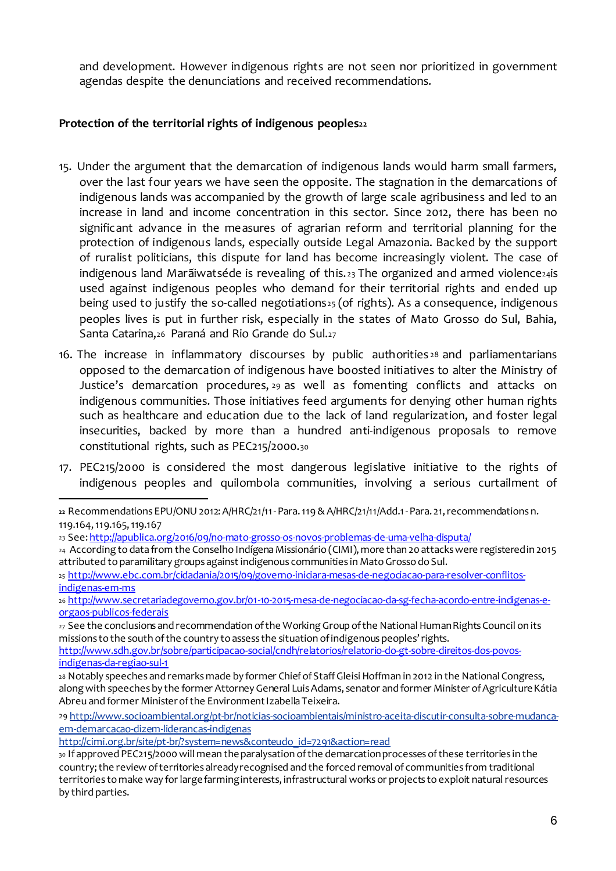and development. However indigenous rights are not seen nor prioritized in government agendas despite the denunciations and received recommendations.

#### **Protection of the territorial rights of indigenous peoples<sup>22</sup>**

- 15. Under the argument that the demarcation of indigenous lands would harm small farmers, over the last four years we have seen the opposite. The stagnation in the demarcations of indigenous lands was accompanied by the growth of large scale agribusiness and led to an increase in land and income concentration in this sector. Since 2012, there has been no significant advance in the measures of agrarian reform and territorial planning for the protection of indigenous lands, especially outside Legal Amazonia. Backed by the support of ruralist politicians, this dispute for land has become increasingly violent. The case of indigenous land Marãiwatséde is revealing of this.  $23$  The organized and armed violence  $24$ is used against indigenous peoples who demand for their territorial rights and ended up being used to justify the so-called negotiations<sup>25</sup> (of rights). As a consequence, indigenous peoples lives is put in further risk, especially in the states of Mato Grosso do Sul, Bahia, Santa Catarina,<sup>26</sup> Paraná and Rio Grande do Sul.<sup>27</sup>
- 16. The increase in inflammatory discourses by public authorities <sup>28</sup> and parliamentarians opposed to the demarcation of indigenous have boosted initiatives to alter the Ministry of Justice's demarcation procedures, <sup>29</sup> as well as fomenting conflicts and attacks on indigenous communities. Those initiatives feed arguments for denying other human rights such as healthcare and education due to the lack of land regularization, and foster legal insecurities, backed by more than a hundred anti-indigenous proposals to remove constitutional rights, such as PEC215/2000.<sup>30</sup>
- 17. PEC215/2000 is considered the most dangerous legislative initiative to the rights of indigenous peoples and quilombola communities, involving a serious curtailment of

-

<sup>25</sup> http://www.ebc.com.br/cidadania/2015/09/governo-iniciara-mesas-de-negociacao-para-resolver-conflitosindigenas-em-ms

**<sup>22</sup>** Recommendations EPU/ONU2012:A/HRC/21/11-Para.119&A/HRC/21/11/Add.1-Para. 21,recommendations n. 119.164,119.165,119.167

<sup>23</sup> See: http://apublica.org/2016/09/no-mato-grosso-os-novos-problemas-de-uma-velha-disputa/

<sup>24</sup> According to data from the Conselho Indígena Missionário (CIMI), more than 20 attacks were registeredin 2015 attributed to paramilitary groups against indigenous communities in Mato Grosso do Sul.

<sup>26</sup> http://www.secretariadegoverno.gov.br/01-10-2015-mesa-de-negociacao-da-sg-fecha-acordo-entre-indigenas-eorgaos-publicos-federais

<sup>27</sup> See the conclusions and recommendation of the Working Group of the National Human Rights Council on its missions to the south of the country to assess the situation of indigenous peoples' rights.

http://www.sdh.gov.br/sobre/participacao-social/cndh/relatorios/relatorio-do-gt-sobre-direitos-dos-povosindigenas-da-regiao-sul-1

<sup>28</sup> Notably speeches and remarks made by former Chief of Staff Gleisi Hoffman in 2012 in the National Congress, along with speeches by the former Attorney General Luis Adams, senator and former Minister of Agriculture Kátia Abreu and former Minister of the Environment Izabella Teixeira.

<sup>29</sup> http://www.socioambiental.org/pt-br/noticias-socioambientais/ministro-aceita-discutir-consulta-sobre-mudancaem-demarcacao-dizem-liderancas-indigenas

http://cimi.org.br/site/pt-br/?system=news&conteudo\_id=7291&action=read

<sup>30</sup> If approved PEC215/2000 will mean the paralysation of the demarcation processes of these territories in the country;the review ofterritories alreadyrecognised and the forced removal of communities from traditional territories tomake way for largefarminginterests, infrastructural worksor projects toexploit naturalresources by third parties.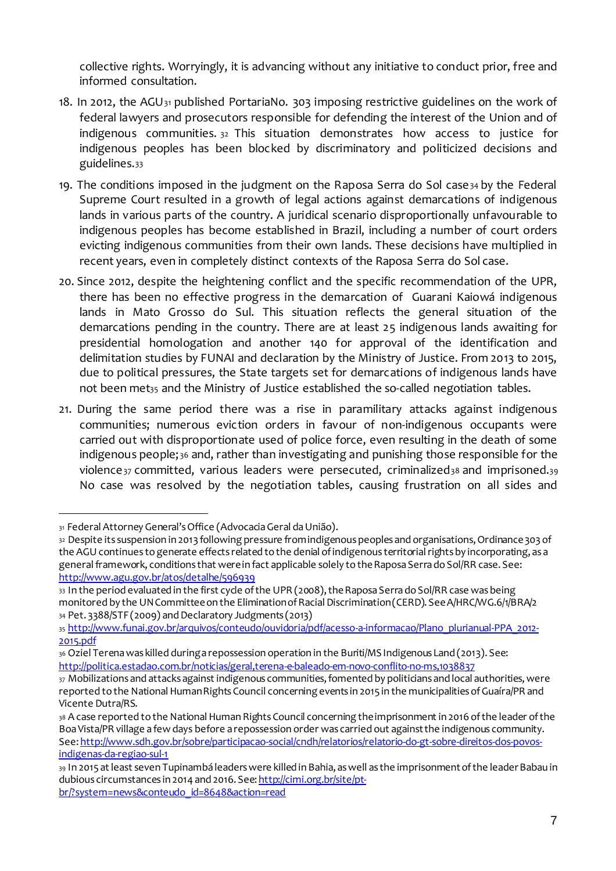collective rights. Worryingly, it is advancing without any initiative to conduct prior, free and informed consultation.

- 18. In 2012, the AGU<sup>31</sup> published PortariaNo. 303 imposing restrictive guidelines on the work of federal lawyers and prosecutors responsible for defending the interest of the Union and of indigenous communities. <sup>32</sup> This situation demonstrates how access to justice for indigenous peoples has been blocked by discriminatory and politicized decisions and guidelines.<sup>33</sup>
- 19. The conditions imposed in the judgment on the Raposa Serra do Sol case $34$  by the Federal Supreme Court resulted in a growth of legal actions against demarcations of indigenous lands in various parts of the country. A juridical scenario disproportionally unfavourable to indigenous peoples has become established in Brazil, including a number of court orders evicting indigenous communities from their own lands. These decisions have multiplied in recent years, even in completely distinct contexts of the Raposa Serra do Sol case.
- 20. Since 2012, despite the heightening conflict and the specific recommendation of the UPR, there has been no effective progress in the demarcation of Guarani Kaiowá indigenous lands in Mato Grosso do Sul. This situation reflects the general situation of the demarcations pending in the country. There are at least 25 indigenous lands awaiting for presidential homologation and another 140 for approval of the identification and delimitation studies by FUNAI and declaration by the Ministry of Justice. From 2013 to 2015, due to political pressures, the State targets set for demarcations of indigenous lands have not been met<sub>35</sub> and the Ministry of Justice established the so-called negotiation tables.
- 21. During the same period there was a rise in paramilitary attacks against indigenous communities; numerous eviction orders in favour of non-indigenous occupants were carried out with disproportionate used of police force, even resulting in the death of some indigenous people; <sup>36</sup> and, rather than investigating and punishing those responsible for the violence<sub>37</sub> committed, various leaders were persecuted, criminalized<sub>38</sub> and imprisoned.39 No case was resolved by the negotiation tables, causing frustration on all sides and

<sup>31</sup> Federal Attorney General's Office (Advocacia Geral da União).

<sup>32</sup> Despite its suspension in 2013 following pressure from indigenous peoples and organisations, Ordinance 303 of the AGU continues to generate effects related to the denial of indigenous territorial rights by incorporating, as a general framework, conditions that were in fact applicable solely to the Raposa Serra do Sol/RR case. See: http://www.agu.gov.br/atos/detalhe/596939

<sup>33</sup> In the period evaluated in the first cycle of the UPR (2008), the Raposa Serra do Sol/RR case was being monitored by the UN Committee on the Elimination of Racial Discrimination (CERD). See A/HRC/WG.6/1/BRA/2 34 Pet. 3388/STF (2009) and Declaratory Judgments (2013)

<sup>35</sup> http://www.funai.gov.br/arquivos/conteudo/ouvidoria/pdf/acesso-a-informacao/Plano\_plurianual-PPA\_2012- 2015.pdf

<sup>36</sup> Oziel Terenawas killed duringa repossession operation in the Buriti/MSIndigenous Land (2013). See: http://politica.estadao.com.br/noticias/geral,terena-e-baleado-em-novo-conflito-no-ms,1038837

<sup>37</sup> Mobilizations and attacks against indigenous communities, fomented by politicians and local authorities, were reported to the National Human Rights Council concerning events in 2015 in the municipalities of Guaíra/PR and Vicente Dutra/RS.

<sup>38</sup> A case reported to the National Human Rights Council concerning the imprisonment in 2016 of the leader of the BoaVista/PR village a few days before a repossession order was carried out againstthe indigenous community. See: http://www.sdh.gov.br/sobre/participacao-social/cndh/relatorios/relatorio-do-gt-sobre-direitos-dos-povosindigenas-da-regiao-sul-1

<sup>39</sup> In 2015 at least seven Tupinambá leaderswere killed in Bahia, aswell as the imprisonmentofthe leaderBabau in dubious circumstances in 2014 and 2016. See: http://cimi.org.br/site/ptbr/?system=news&conteudo\_id=8648&action=read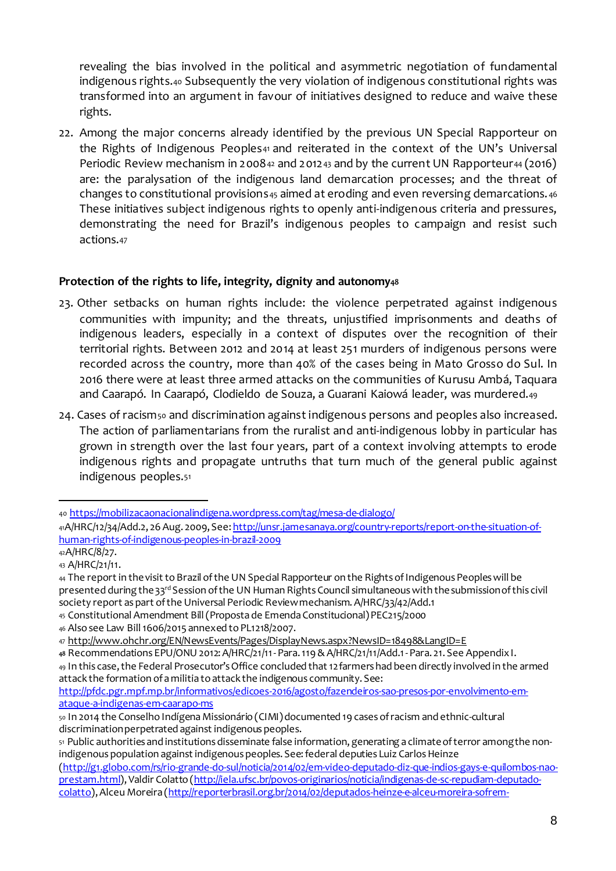revealing the bias involved in the political and asymmetric negotiation of fundamental indigenous rights.<sup>40</sup> Subsequently the very violation of indigenous constitutional rights was transformed into an argument in favour of initiatives designed to reduce and waive these rights.

22. Among the major concerns already identified by the previous UN Special Rapporteur on the Rights of Indigenous Peoples<sub>41</sub> and reiterated in the context of the UN's Universal Periodic Review mechanism in 2008 $42$  and 2012 $43$  and by the current UN Rapporteur $44$  (2016) are: the paralysation of the indigenous land demarcation processes; and the threat of changes to constitutional provisions45 aimed at eroding and even reversing demarcations.  $46$ These initiatives subject indigenous rights to openly anti-indigenous criteria and pressures, demonstrating the need for Brazil's indigenous peoples to campaign and resist such actions.<sup>47</sup>

## **Protection of the rights to life, integrity, dignity and autonomy<sup>48</sup>**

- 23. Other setbacks on human rights include: the violence perpetrated against indigenous communities with impunity; and the threats, unjustified imprisonments and deaths of indigenous leaders, especially in a context of disputes over the recognition of their territorial rights. Between 2012 and 2014 at least 251 murders of indigenous persons were recorded across the country, more than 40% of the cases being in Mato Grosso do Sul. In 2016 there were at least three armed attacks on the communities of Kurusu Ambá, Taquara and Caarapó. In Caarapó, Clodieldo de Souza, a Guarani Kaiowá leader, was murdered.<sup>49</sup>
- 24. Cases of racism<sub>50</sub> and discrimination against indigenous persons and peoples also increased. The action of parliamentarians from the ruralist and anti-indigenous lobby in particular has grown in strength over the last four years, part of a context involving attempts to erode indigenous rights and propagate untruths that turn much of the general public against indigenous peoples.<sup>51</sup>

<sup>40</sup> https://mobilizacaonacionalindigena.wordpress.com/tag/mesa-de-dialogo/

<sup>41</sup>A/HRC/12/34/Add.2, 26Aug. 2009, See: http://unsr.jamesanaya.org/country-reports/report-on-the-situation-ofhuman-rights-of-indigenous-peoples-in-brazil-2009

<sup>42</sup>A/HRC/8/27. <sup>43</sup> A/HRC/21/11.

<sup>44</sup> The report in the visit to Brazil of the UN Special Rapporteur on the Rights of Indigenous Peoples will be presented during the 33rd Session of the UN Human Rights Council simultaneous with the submission of this civil society report as part of the Universal Periodic Reviewmechanism. A/HRC/33/42/Add.1

<sup>45</sup> Constitutional Amendment Bill(Propostade EmendaConstitucional)PEC215/2000

<sup>46</sup> Alsosee Law Bill1606/2015 annexed toPL1218/2007.

<sup>47</sup> http://www.ohchr.org/EN/NewsEvents/Pages/DisplayNews.aspx?NewsID=18498&LangID=E

**<sup>48</sup>** Recommendations EPU/ONU2012:A/HRC/21/11-Para.119&A/HRC/21/11/Add.1-Para. 21. See AppendixI. <sup>49</sup> In this case,the Federal Prosecutor'sOffice concluded that 12farmershad been directly involved in the armed attack the formation of a militia to attack the indigenous community. See:

http://pfdc.pgr.mpf.mp.br/informativos/edicoes-2016/agosto/fazendeiros-sao-presos-por-envolvimento-emataque-a-indigenas-em-caarapo-ms

<sup>50</sup> In 2014 the Conselho Indígena Missionário (CIMI) documented 19 cases of racism and ethnic-cultural discrimination perpetrated against indigenous peoples.

<sup>51</sup> Public authorities and institutions disseminate false information, generating a climate of terror among the nonindigenous population against indigenous peoples. See: federal deputies Luiz Carlos Heinze

<sup>(</sup>http://g1.globo.com/rs/rio-grande-do-sul/noticia/2014/02/em-video-deputado-diz-que-indios-gays-e-quilombos-naoprestam.html), Valdir Colatto (http://iela.ufsc.br/povos-originarios/noticia/indigenas-de-sc-repudiam-deputadocolatto),Alceu Moreira (http://reporterbrasil.org.br/2014/02/deputados-heinze-e-alceu-moreira-sofrem-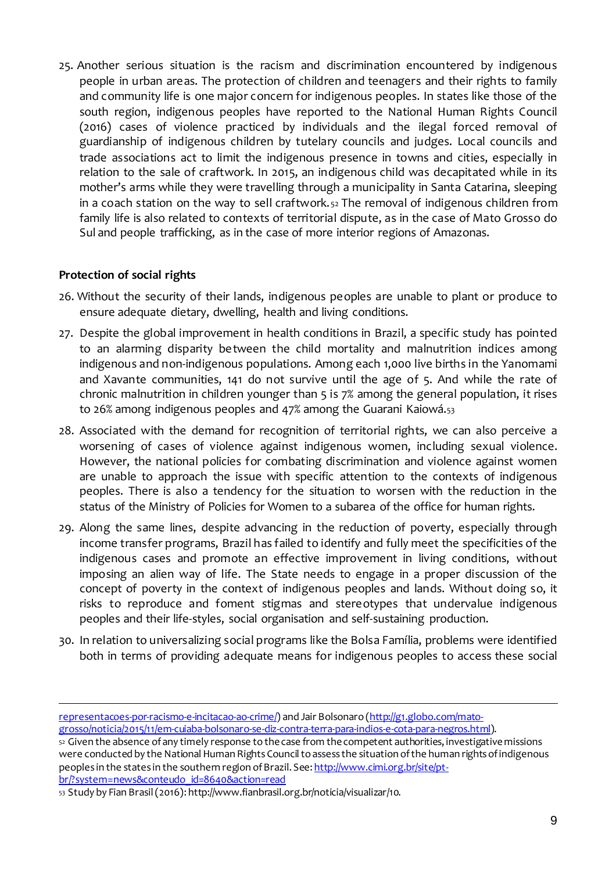25. Another serious situation is the racism and discrimination encountered by indigenous people in urban areas. The protection of children and teenagers and their rights to family and community life is one major concern for indigenous peoples. In states like those of the south region, indigenous peoples have reported to the National Human Rights Council (2016) cases of violence practiced by individuals and the ilegal forced removal of guardianship of indigenous children by tutelary councils and judges. Local councils and trade associations act to limit the indigenous presence in towns and cities, especially in relation to the sale of craftwork. In 2015, an indigenous child was decapitated while in its mother's arms while they were travelling through a municipality in Santa Catarina, sleeping in a coach station on the way to sell craftwork. <sup>52</sup> The removal of indigenous children from family life is also related to contexts of territorial dispute, as in the case of Mato Grosso do Sul and people trafficking, as in the case of more interior regions of Amazonas.

### **Protection of social rights**

1

- 26. Without the security of their lands, indigenous peoples are unable to plant or produce to ensure adequate dietary, dwelling, health and living conditions.
- 27. Despite the global improvement in health conditions in Brazil, a specific study has pointed to an alarming disparity between the child mortality and malnutrition indices among indigenous and non-indigenous populations. Among each 1,000 live births in the Yanomami and Xavante communities, 141 do not survive until the age of 5. And while the rate of chronic malnutrition in children younger than 5 is 7% among the general population, it rises to 26% among indigenous peoples and 47% among the Guarani Kaiowá.<sup>53</sup>
- 28. Associated with the demand for recognition of territorial rights, we can also perceive a worsening of cases of violence against indigenous women, including sexual violence. However, the national policies for combating discrimination and violence against women are unable to approach the issue with specific attention to the contexts of indigenous peoples. There is also a tendency for the situation to worsen with the reduction in the status of the Ministry of Policies for Women to a subarea of the office for human rights.
- 29. Along the same lines, despite advancing in the reduction of poverty, especially through income transfer programs, Brazil has failed to identify and fully meet the specificities of the indigenous cases and promote an effective improvement in living conditions, without imposing an alien way of life. The State needs to engage in a proper discussion of the concept of poverty in the context of indigenous peoples and lands. Without doing so, it risks to reproduce and foment stigmas and stereotypes that undervalue indigenous peoples and their life-styles, social organisation and self-sustaining production.
- 30. In relation to universalizing social programs like the Bolsa Família, problems were identified both in terms of providing adequate means for indigenous peoples to access these social

<sup>53</sup> Study by Fian Brasil(2016): http://www.fianbrasil.org.br/noticia/visualizar/10.

representacoes-por-racismo-e-incitacao-ao-crime/) and Jair Bolsonaro (http://g1.globo.com/matogrosso/noticia/2015/11/em-cuiaba-bolsonaro-se-diz-contra-terra-para-indios-e-cota-para-negros.html).

<sup>52</sup> Given the absence of any timely response to the case from the competent authorities, investigative missions were conducted by the National Human Rights Council to assess the situation of the human rights of indigenous peoples in the states in the southern region of Brazil. See: http://www.cimi.org.br/site/ptbr/?system=news&conteudo\_id=8640&action=read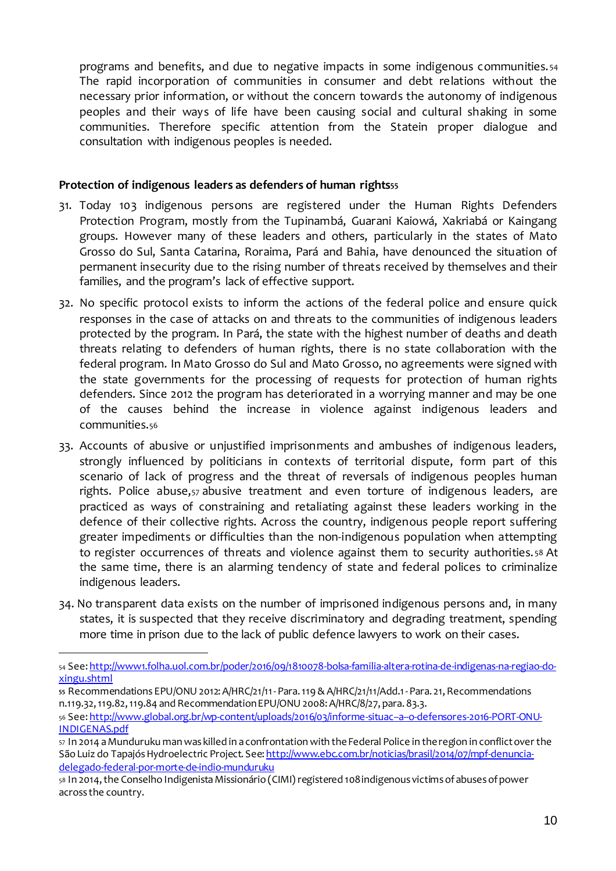programs and benefits, and due to negative impacts in some indigenous communities. <sup>54</sup> The rapid incorporation of communities in consumer and debt relations without the necessary prior information, or without the concern towards the autonomy of indigenous peoples and their ways of life have been causing social and cultural shaking in some communities. Therefore specific attention from the Statein proper dialogue and consultation with indigenous peoples is needed.

#### **Protection of indigenous leaders as defenders of human rights<sup>55</sup>**

- 31. Today 103 indigenous persons are registered under the Human Rights Defenders Protection Program, mostly from the Tupinambá, Guarani Kaiowá, Xakriabá or Kaingang groups. However many of these leaders and others, particularly in the states of Mato Grosso do Sul, Santa Catarina, Roraima, Pará and Bahia, have denounced the situation of permanent insecurity due to the rising number of threats received by themselves and their families, and the program's lack of effective support.
- 32. No specific protocol exists to inform the actions of the federal police and ensure quick responses in the case of attacks on and threats to the communities of indigenous leaders protected by the program. In Pará, the state with the highest number of deaths and death threats relating to defenders of human rights, there is no state collaboration with the federal program. In Mato Grosso do Sul and Mato Grosso, no agreements were signed with the state governments for the processing of requests for protection of human rights defenders. Since 2012 the program has deteriorated in a worrying manner and may be one of the causes behind the increase in violence against indigenous leaders and communities.<sup>56</sup>
- 33. Accounts of abusive or unjustified imprisonments and ambushes of indigenous leaders, strongly influenced by politicians in contexts of territorial dispute, form part of this scenario of lack of progress and the threat of reversals of indigenous peoples human rights. Police abuse,<sup>57</sup> abusive treatment and even torture of indigenous leaders, are practiced as ways of constraining and retaliating against these leaders working in the defence of their collective rights. Across the country, indigenous people report suffering greater impediments or difficulties than the non-indigenous population when attempting to register occurrences of threats and violence against them to security authorities. <sup>58</sup> At the same time, there is an alarming tendency of state and federal polices to criminalize indigenous leaders.
- 34. No transparent data exists on the number of imprisoned indigenous persons and, in many states, it is suspected that they receive discriminatory and degrading treatment, spending more time in prison due to the lack of public defence lawyers to work on their cases.

1

<sup>56</sup> See: http://www.global.org.br/wp-content/uploads/2016/03/informe-situac--a--o-defensores-2016-PORT-ONU-INDIGENAS.pdf

<sup>54</sup> See: http://www1.folha.uol.com.br/poder/2016/09/1810078-bolsa-familia-altera-rotina-de-indigenas-na-regiao-doxingu.shtml

**<sup>55</sup>** Recommendations EPU/ONU2012:A/HRC/21/11-Para.119&A/HRC/21/11/Add.1-Para. 21,Recommendations n.119.32,119.82,119.84 and Recommendation EPU/ONU 2008: A/HRC/8/27, para.83.3.

<sup>57</sup> In 2014 aMunduruku man was killed in a confrontation with theFederal Police in theregion in conflictover the São Luiz do Tapajós Hydroelectric Project. See: http://www.ebc.com.br/noticias/brasil/2014/07/mpf-denunciadelegado-federal-por-morte-de-indio-munduruku

<sup>58</sup> In 2014, the Conselho Indigenista Missionário (CIMI) registered 108 indigenous victims of abuses of power across the country.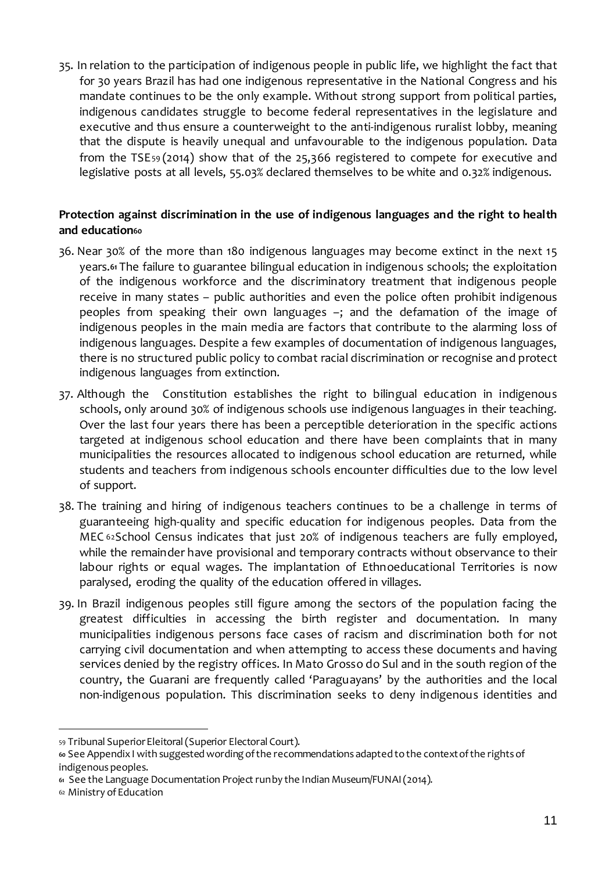35. In relation to the participation of indigenous people in public life, we highlight the fact that for 30 years Brazil has had one indigenous representative in the National Congress and his mandate continues to be the only example. Without strong support from political parties, indigenous candidates struggle to become federal representatives in the legislature and executive and thus ensure a counterweight to the anti-indigenous ruralist lobby, meaning that the dispute is heavily unequal and unfavourable to the indigenous population. Data from the TSE<sup>59</sup> (2014) show that of the 25,366 registered to compete for executive and legislative posts at all levels, 55.03% declared themselves to be white and 0.32% indigenous.

### **Protection against discrimination in the use of indigenous languages and the right to health and education<sup>60</sup>**

- 36. Near 30% of the more than 180 indigenous languages may become extinct in the next 15 years.**<sup>61</sup>** The failure to guarantee bilingual education in indigenous schools; the exploitation of the indigenous workforce and the discriminatory treatment that indigenous people receive in many states – public authorities and even the police often prohibit indigenous peoples from speaking their own languages –; and the defamation of the image of indigenous peoples in the main media are factors that contribute to the alarming loss of indigenous languages. Despite a few examples of documentation of indigenous languages, there is no structured public policy to combat racial discrimination or recognise and protect indigenous languages from extinction.
- 37. Although the Constitution establishes the right to bilingual education in indigenous schools, only around 30% of indigenous schools use indigenous languages in their teaching. Over the last four years there has been a perceptible deterioration in the specific actions targeted at indigenous school education and there have been complaints that in many municipalities the resources allocated to indigenous school education are returned, while students and teachers from indigenous schools encounter difficulties due to the low level of support.
- 38. The training and hiring of indigenous teachers continues to be a challenge in terms of guaranteeing high-quality and specific education for indigenous peoples. Data from the MEC <sup>62</sup>School Census indicates that just 20% of indigenous teachers are fully employed, while the remainder have provisional and temporary contracts without observance to their labour rights or equal wages. The implantation of Ethnoeducational Territories is now paralysed, eroding the quality of the education offered in villages.
- 39. In Brazil indigenous peoples still figure among the sectors of the population facing the greatest difficulties in accessing the birth register and documentation. In many municipalities indigenous persons face cases of racism and discrimination both for not carrying civil documentation and when attempting to access these documents and having services denied by the registry offices. In Mato Grosso do Sul and in the south region of the country, the Guarani are frequently called 'Paraguayans' by the authorities and the local non-indigenous population. This discrimination seeks to deny indigenous identities and

<sup>59</sup> Tribunal Superior Eleitoral (Superior Electoral Court).

**<sup>60</sup>** See AppendixI with suggestedwording ofthe recommendations adapted tothe contextofthe rightsof indigenous peoples.

**<sup>61</sup>** See the Language Documentation Project runby the Indian Museum/FUNAI(2014).

<sup>62</sup> Ministry ofEducation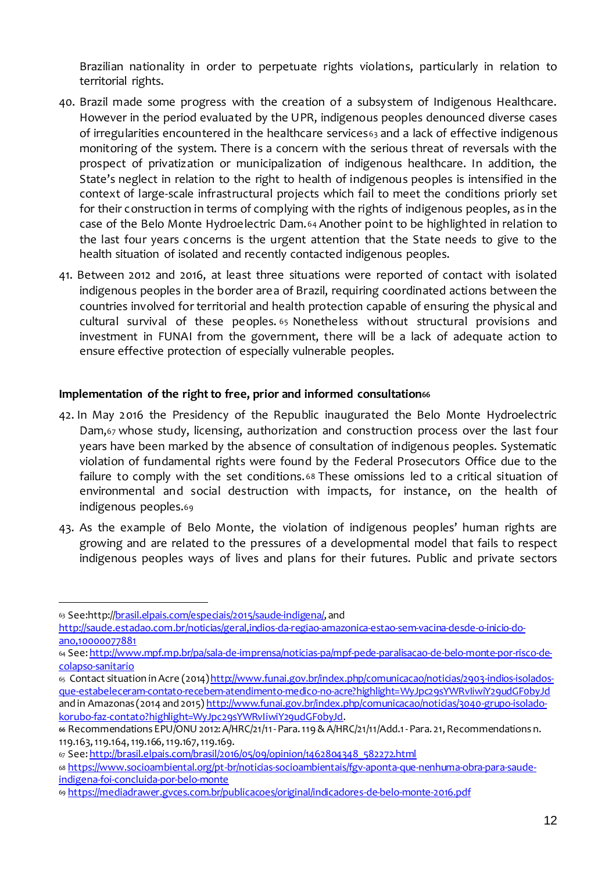Brazilian nationality in order to perpetuate rights violations, particularly in relation to territorial rights.

- 40. Brazil made some progress with the creation of a subsystem of Indigenous Healthcare. However in the period evaluated by the UPR, indigenous peoples denounced diverse cases of irregularities encountered in the healthcare services<sup>63</sup> and a lack of effective indigenous monitoring of the system. There is a concern with the serious threat of reversals with the prospect of privatization or municipalization of indigenous healthcare. In addition, the State's neglect in relation to the right to health of indigenous peoples is intensified in the context of large-scale infrastructural projects which fail to meet the conditions priorly set for their construction in terms of complying with the rights of indigenous peoples, as in the case of the Belo Monte Hydroelectric Dam.<sup>64</sup> Another point to be highlighted in relation to the last four years concerns is the urgent attention that the State needs to give to the health situation of isolated and recently contacted indigenous peoples.
- 41. Between 2012 and 2016, at least three situations were reported of contact with isolated indigenous peoples in the border area of Brazil, requiring coordinated actions between the countries involved for territorial and health protection capable of ensuring the physical and cultural survival of these peoples. <sup>65</sup> Nonetheless without structural provisions and investment in FUNAI from the government, there will be a lack of adequate action to ensure effective protection of especially vulnerable peoples.

#### **Implementation** of the right to free, prior and informed consultation<sup>66</sup>

- 42. In May 2016 the Presidency of the Republic inaugurated the Belo Monte Hydroelectric Dam,<sup>67</sup> whose study, licensing, authorization and construction process over the last four years have been marked by the absence of consultation of indigenous peoples. Systematic violation of fundamental rights were found by the Federal Prosecutors Office due to the failure to comply with the set conditions. <sup>68</sup> These omissions led to a critical situation of environmental and social destruction with impacts, for instance, on the health of indigenous peoples.<sup>69</sup>
- 43. As the example of Belo Monte, the violation of indigenous peoples' human rights are growing and are related to the pressures of a developmental model that fails to respect indigenous peoples ways of lives and plans for their futures. Public and private sectors

<sup>-</sup>63 See:http://brasil.elpais.com/especiais/2015/saude-indigenal.and

http://saude.estadao.com.br/noticias/geral,indios-da-regiao-amazonica-estao-sem-vacina-desde-o-inicio-doano,10000077881

<sup>64</sup> See: http://www.mpf.mp.br/pa/sala-de-imprensa/noticias-pa/mpf-pede-paralisacao-de-belo-monte-por-risco-decolapso-sanitario

<sup>65</sup> Contact situation in Acre (2014)http://www.funai.gov.br/index.php/comunicacao/noticias/2903-indios-isoladosque-estabeleceram-contato-recebem-atendimento-medico-no-acre?highlight=WyJpc29sYWRvIiwiY29udGF0byJd and in Amazonas (2014 and 2015) http://www.funai.gov.br/index.php/comunicacao/noticias/3040-grupo-isoladokorubo-faz-contato?highlight=WyJpc29sYWRvIiwiY29udGF0byJd.

<sup>66</sup> Recommendations EPU/ONU 2012: A/HRC/21/11- Para. 119 & A/HRC/21/11/Add.1 - Para. 21, Recommendations n. 119.163,119.164,119.166,119.167,119.169.

<sup>67</sup> See: http://brasil.elpais.com/brasil/2016/05/09/opinion/1462804348\_582272.html

<sup>68</sup> https://www.socioambiental.org/pt-br/noticias-socioambientais/fgv-aponta-que-nenhuma-obra-para-saudeindigena-foi-concluida-por-belo-monte

<sup>69</sup> https://mediadrawer.gvces.com.br/publicacoes/original/indicadores-de-belo-monte-2016.pdf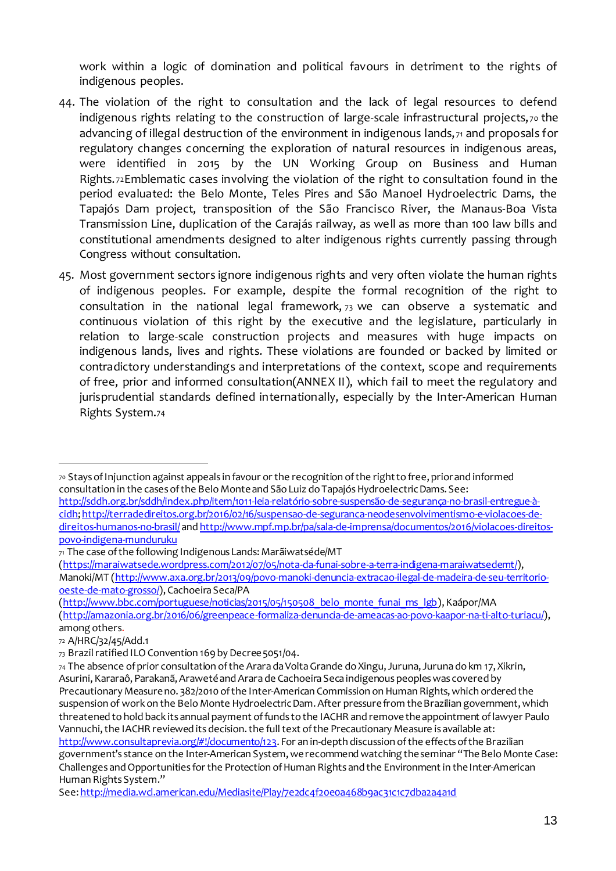work within a logic of domination and political favours in detriment to the rights of indigenous peoples.

- 44. The violation of the right to consultation and the lack of legal resources to defend indigenous rights relating to the construction of large-scale infrastructural projects, 70 the advancing of illegal destruction of the environment in indigenous lands,  $71$  and proposals for regulatory changes concerning the exploration of natural resources in indigenous areas, were identified in 2015 by the UN Working Group on Business and Human Rights. <sup>72</sup>Emblematic cases involving the violation of the right to consultation found in the period evaluated: the Belo Monte, Teles Pires and São Manoel Hydroelectric Dams, the Tapajós Dam project, transposition of the São Francisco River, the Manaus-Boa Vista Transmission Line, duplication of the Carajás railway, as well as more than 100 law bills and constitutional amendments designed to alter indigenous rights currently passing through Congress without consultation.
- 45. Most government sectors ignore indigenous rights and very often violate the human rights of indigenous peoples. For example, despite the formal recognition of the right to consultation in the national legal framework, <sup>73</sup> we can observe a systematic and continuous violation of this right by the executive and the legislature, particularly in relation to large-scale construction projects and measures with huge impacts on indigenous lands, lives and rights. These violations are founded or backed by limited or contradictory understandings and interpretations of the context, scope and requirements of free, prior and informed consultation(ANNEX II), which fail to meet the regulatory and jurisprudential standards defined internationally, especially by the Inter-American Human Rights System.<sup>74</sup>

http://sddh.org.br/sddh/index.php/item/1011-leia-relatório-sobre-suspensão-de-segurança-no-brasil-entregue-àcidh;http://terradedireitos.org.br/2016/02/16/suspensao-de-seguranca-neodesenvolvimentismo-e-violacoes-dedireitos-humanos-no-brasil/and http://www.mpf.mp.br/pa/sala-de-imprensa/documentos/2016/violacoes-direitospovo-indigena-munduruku

(http://www.bbc.com/portuguese/noticias/2015/05/150508\_belo\_monte\_funai\_ms\_lgb),Kaápor/MA

<sup>70</sup> StaysofInjunction against appeals in favour or the recognition ofthe righttofree,priorand informed consultation in the casesofthe BeloMonteand SãoLuiz doTapajósHydroelectricDams. See:

<sup>71</sup> The case of the following Indigenous Lands: Marãiwatséde/MT

<sup>(</sup>https://maraiwatsede.wordpress.com/2012/07/05/nota-da-funai-sobre-a-terra-indigena-maraiwatsedemt/), Manoki/MT (http://www.axa.org.br/2013/09/povo-manoki-denuncia-extracao-ilegal-de-madeira-de-seu-territoriooeste-de-mato-grosso/), Cachoeira Seca/PA

<sup>(</sup>http://amazonia.org.br/2016/06/greenpeace-formaliza-denuncia-de-ameacas-ao-povo-kaapor-na-ti-alto-turiacu/), among others.

<sup>72</sup> A/HRC/32/45/Add.1

<sup>73</sup> Brazil ratified ILO Convention 169 by Decree 5051/04.

<sup>74</sup> The absence of prior consultation of the Arara da Volta Grande do Xingu, Juruna, Juruna do km 17, Xikrin, Asurini, Kararaô, Parakanã, Araweté and Arara de Cachoeira Seca indigenous peoples was covered by Precautionary Measure no. 382/2010 of the Inter-American Commission on Human Rights, which ordered the suspension of work on the Belo Monte Hydroelectric Dam. After pressure from the Brazilian government, which threatened tohold back itsannual payment offunds tothe IACHR and removetheappointment oflawyer Paulo Vannuchi, the IACHR reviewed its decision. the full text of the Precautionary Measure is available at: http://www.consultaprevia.org/#!/documento/123. For an in-depth discussion of the effects of the Brazilian government's stance on the Inter-American System, we recommend watching the seminar "The Belo Monte Case: Challenges and Opportunities for the Protection of Human Rights and the Environment in the Inter-American Human Rights System."

See: http://media.wcl.american.edu/Mediasite/Play/7e2dc4f20e0a468b9ac31c1c7dba2a4a1d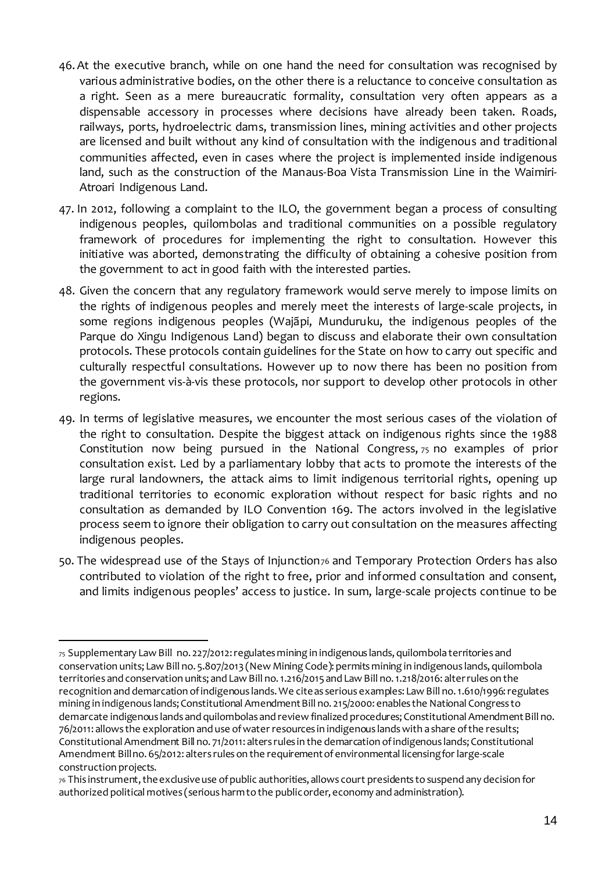- 46.At the executive branch, while on one hand the need for consultation was recognised by various administrative bodies, on the other there is a reluctance to conceive consultation as a right. Seen as a mere bureaucratic formality, consultation very often appears as a dispensable accessory in processes where decisions have already been taken. Roads, railways, ports, hydroelectric dams, transmission lines, mining activities and other projects are licensed and built without any kind of consultation with the indigenous and traditional communities affected, even in cases where the project is implemented inside indigenous land, such as the construction of the Manaus-Boa Vista Transmission Line in the Waimiri-Atroari Indigenous Land.
- 47. In 2012, following a complaint to the ILO, the government began a process of consulting indigenous peoples, quilombolas and traditional communities on a possible regulatory framework of procedures for implementing the right to consultation. However this initiative was aborted, demonstrating the difficulty of obtaining a cohesive position from the government to act in good faith with the interested parties.
- 48. Given the concern that any regulatory framework would serve merely to impose limits on the rights of indigenous peoples and merely meet the interests of large-scale projects, in some regions indigenous peoples (Wajãpi, Munduruku, the indigenous peoples of the Parque do Xingu Indigenous Land) began to discuss and elaborate their own consultation protocols. These protocols contain guidelines for the State on how to carry out specific and culturally respectful consultations. However up to now there has been no position from the government vis-à-vis these protocols, nor support to develop other protocols in other regions.
- 49. In terms of legislative measures, we encounter the most serious cases of the violation of the right to consultation. Despite the biggest attack on indigenous rights since the 1988 Constitution now being pursued in the National Congress, <sup>75</sup> no examples of prior consultation exist. Led by a parliamentary lobby that acts to promote the interests of the large rural landowners, the attack aims to limit indigenous territorial rights, opening up traditional territories to economic exploration without respect for basic rights and no consultation as demanded by ILO Convention 169. The actors involved in the legislative process seem to ignore their obligation to carry out consultation on the measures affecting indigenous peoples.
- 50. The widespread use of the Stays of Injunction<sub>76</sub> and Temporary Protection Orders has also contributed to violation of the right to free, prior and informed consultation and consent, and limits indigenous peoples' access to justice. In sum, large-scale projects continue to be

<sup>75</sup> Supplementary Law Bill no. 227/2012:regulatesmining in indigenous lands,quilombola territories and conservation units; Law Bill no. 5.807/2013 (New Mining Code): permits mining in indigenous lands, quilombola territories and conservation units; and Law Bill no. 1.216/2015 and Law Bill no. 1.218/2016: alterrules on the recognition and demarcation ofindigenous lands.We citeas serious examples: Law Bill no.1.610/1996:regulates mining in indigenous lands; Constitutional Amendment Bill no. 215/2000: enables the National Congress to demarcate indigenous lands and quilombolas and review finalized procedures; Constitutional Amendment Bill no. 76/2011: allows the exploration and use ofwater resources in indigenous landswith a share ofthe results; Constitutional Amendment Bill no. 71/2011: alters rules in the demarcation of indigenous lands; Constitutional Amendment Billno. 65/2012: alters rules on the requirement of environmental licensing for large-scale construction projects.

<sup>76</sup> This instrument, the exclusive use of public authorities, allows court presidents to suspend any decision for authorized political motives (seriousharmtothe publicorder, economy and administration).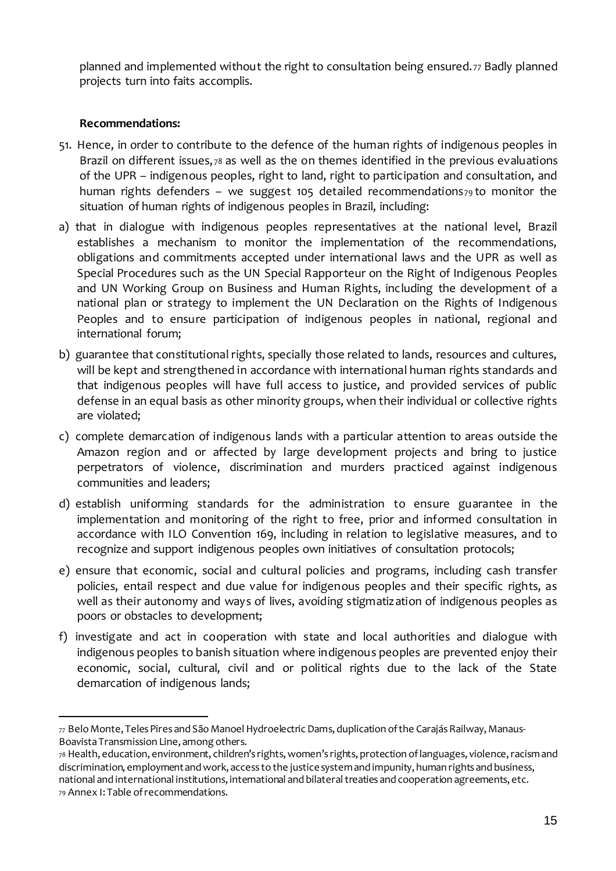planned and implemented without the right to consultation being ensured. <sup>77</sup> Badly planned projects turn into faits accomplis.

#### **Recommendations:**

1

- 51. Hence, in order to contribute to the defence of the human rights of indigenous peoples in Brazil on different issues, 78 as well as the on themes identified in the previous evaluations of the UPR – indigenous peoples, right to land, right to participation and consultation, and human rights defenders – we suggest 105 detailed recommendations $79$  to monitor the situation of human rights of indigenous peoples in Brazil, including:
- a) that in dialogue with indigenous peoples representatives at the national level, Brazil establishes a mechanism to monitor the implementation of the recommendations, obligations and commitments accepted under international laws and the UPR as well as Special Procedures such as the UN Special Rapporteur on the Right of Indigenous Peoples and UN Working Group on Business and Human Rights, including the development of a national plan or strategy to implement the UN Declaration on the Rights of Indigenous Peoples and to ensure participation of indigenous peoples in national, regional and international forum;
- b) guarantee that constitutional rights, specially those related to lands, resources and cultures, will be kept and strengthened in accordance with international human rights standards and that indigenous peoples will have full access to justice, and provided services of public defense in an equal basis as other minority groups, when their individual or collective rights are violated;
- c) complete demarcation of indigenous lands with a particular attention to areas outside the Amazon region and or affected by large development projects and bring to justice perpetrators of violence, discrimination and murders practiced against indigenous communities and leaders;
- d) establish uniforming standards for the administration to ensure guarantee in the implementation and monitoring of the right to free, prior and informed consultation in accordance with ILO Convention 169, including in relation to legislative measures, and to recognize and support indigenous peoples own initiatives of consultation protocols;
- e) ensure that economic, social and cultural policies and programs, including cash transfer policies, entail respect and due value for indigenous peoples and their specific rights, as well as their autonomy and ways of lives, avoiding stigmatization of indigenous peoples as poors or obstacles to development;
- f) investigate and act in cooperation with state and local authorities and dialogue with indigenous peoples to banish situation where indigenous peoples are prevented enjoy their economic, social, cultural, civil and or political rights due to the lack of the State demarcation of indigenous lands;

<sup>78</sup> Health, education, environment, children's rights,women's rights, protection oflanguages, violence,racismand discrimination, employment and work, access to the justice system and impunity, human rights and business, national and international institutions, international and bilateral treaties and cooperation agreements, etc. <sup>79</sup> Annex I: Table ofrecommendations.

 $77$  Belo Monte, Teles Pires and São Manoel Hydroelectric Dams, duplication of the Carajás Railway, Manaus-Boavista Transmission Line, among others.